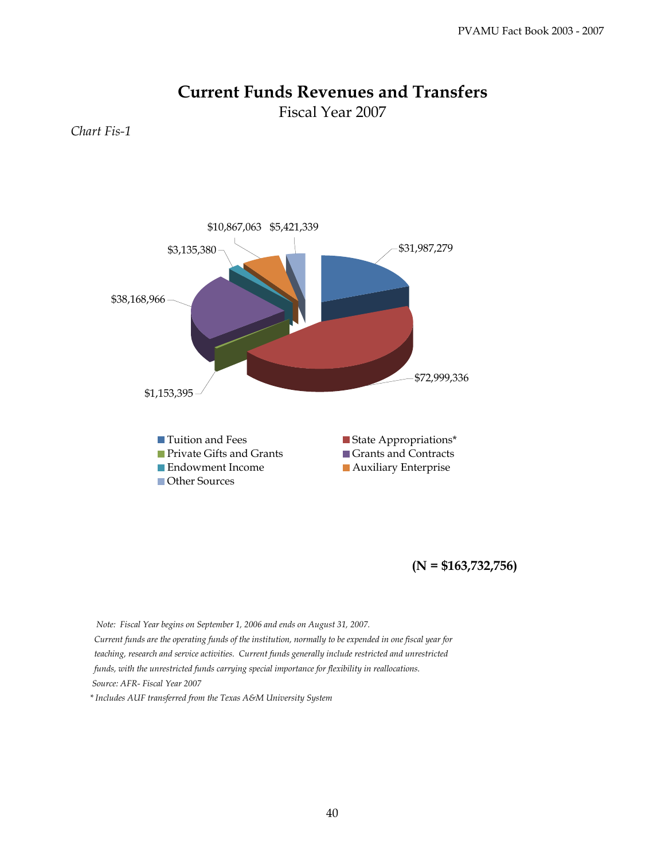## **Current Funds Revenues and Transfers**

Fiscal Year 2007

*Chart Fis-1*



**(N = \$163,732,756)**

 *Note: Fiscal Year begins on September 1, 2006 and ends on August 31, 2007. Current funds are the operating funds of the institution, normally to be expended in one fiscal year for teaching, research and service activities. Current funds generally include restricted and unrestricted funds, with the unrestricted funds carrying special importance for flexibility in reallocations. Source: AFR- Fiscal Year 2007 \* Includes AUF transferred from the Texas A&M University System*